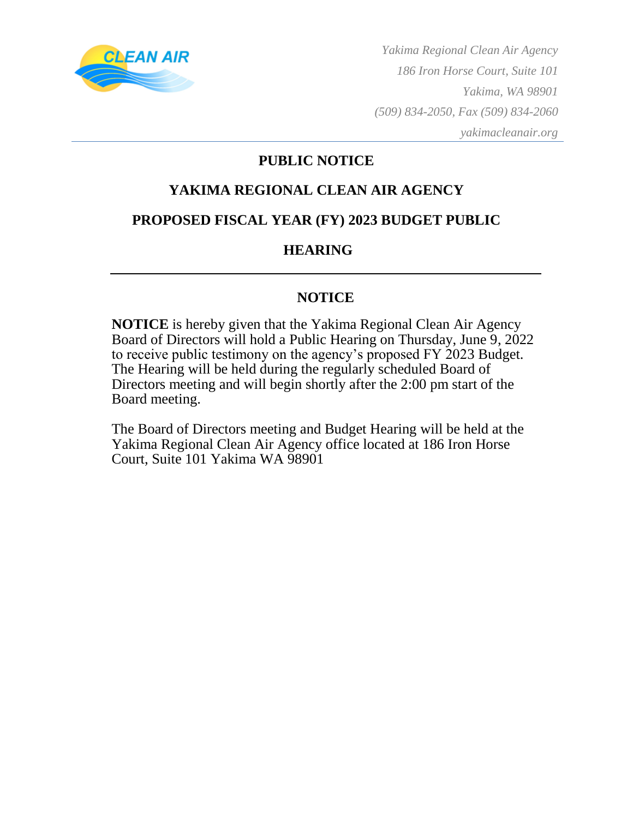

*Yakima Regional Clean Air Agency 186 Iron Horse Court, Suite 101 Yakima, WA 98901 (509) 834-2050, Fax (509) 834-2060 yakimacleanair.org*

#### **PUBLIC NOTICE**

#### **YAKIMA REGIONAL CLEAN AIR AGENCY**

#### **PROPOSED FISCAL YEAR (FY) 2023 BUDGET PUBLIC**

#### **HEARING**

#### **NOTICE**

**NOTICE** is hereby given that the Yakima Regional Clean Air Agency Board of Directors will hold a Public Hearing on Thursday, June 9, 2022 to receive public testimony on the agency's proposed FY 2023 Budget. The Hearing will be held during the regularly scheduled Board of Directors meeting and will begin shortly after the 2:00 pm start of the Board meeting.

The Board of Directors meeting and Budget Hearing will be held at the Yakima Regional Clean Air Agency office located at 186 Iron Horse Court, Suite 101 Yakima WA 98901